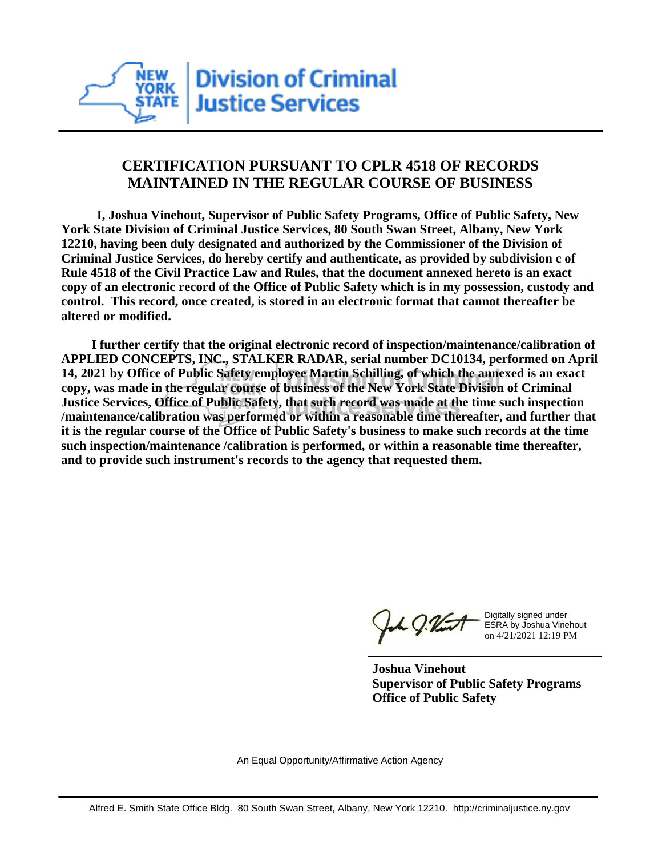

## **CERTIFICATION PURSUANT TO CPLR 4518 OF RECORDS MAINTAINED IN THE REGULAR COURSE OF BUSINESS**

 **I, Joshua Vinehout, Supervisor of Public Safety Programs, Office of Public Safety, New York State Division of Criminal Justice Services, 80 South Swan Street, Albany, New York 12210, having been duly designated and authorized by the Commissioner of the Division of Criminal Justice Services, do hereby certify and authenticate, as provided by subdivision c of Rule 4518 of the Civil Practice Law and Rules, that the document annexed hereto is an exact copy of an electronic record of the Office of Public Safety which is in my possession, custody and control. This record, once created, is stored in an electronic format that cannot thereafter be altered or modified.**

 **I further certify that the original electronic record of inspection/maintenance/calibration of APPLIED CONCEPTS, INC., STALKER RADAR, serial number DC10134, performed on April 14, 2021 by Office of Public Safety employee Martin Schilling, of which the annexed is an exact copy, was made in the regular course of business of the New York State Division of Criminal Justice Services, Office of Public Safety, that such record was made at the time such inspection /maintenance/calibration was performed or within a reasonable time thereafter, and further that it is the regular course of the Office of Public Safety's business to make such records at the time such inspection/maintenance /calibration is performed, or within a reasonable time thereafter, and to provide such instrument's records to the agency that requested them.**

the g. Vint

Digitally signed under ESRA by Joshua Vinehout on 4/21/2021 12:19 PM

**Joshua Vinehout Supervisor of Public Safety Programs Office of Public Safety**

An Equal Opportunity/Affirmative Action Agency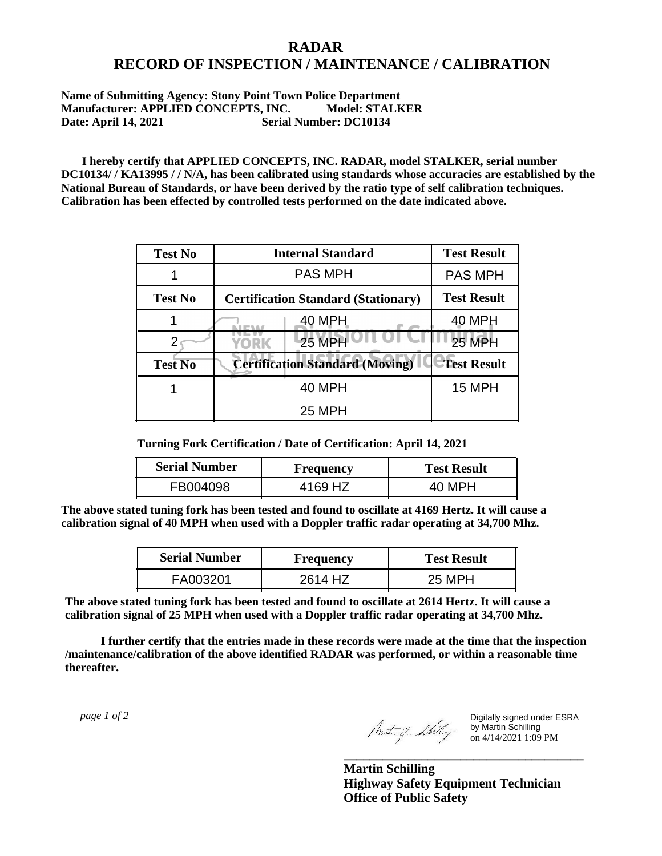## **RADAR RECORD OF INSPECTION / MAINTENANCE / CALIBRATION**

## **Name of Submitting Agency: Stony Point Town Police Department Manufacturer: APPLIED CONCEPTS, INC. Model: STALKER Date: April 14, 2021 Serial Number: DC10134**

 **I hereby certify that APPLIED CONCEPTS, INC. RADAR, model STALKER, serial number DC10134/ / KA13995 / / N/A, has been calibrated using standards whose accuracies are established by the National Bureau of Standards, or have been derived by the ratio type of self calibration techniques. Calibration has been effected by controlled tests performed on the date indicated above.**

| <b>Test No</b> | <b>Internal Standard</b>                   | <b>Test Result</b> |
|----------------|--------------------------------------------|--------------------|
|                | <b>PAS MPH</b>                             | <b>PAS MPH</b>     |
| <b>Test No</b> | <b>Certification Standard (Stationary)</b> | <b>Test Result</b> |
|                | 40 MPH                                     | 40 MPH             |
|                | $25$ MPH<br>YORK                           | <b>25 MPH</b>      |
| <b>Test No</b> | <b>Certification Standard (Moving)</b>     | <b>Test Result</b> |
|                | <b>40 MPH</b>                              | <b>15 MPH</b>      |
|                | <b>25 MPH</b>                              |                    |

**Turning Fork Certification / Date of Certification: April 14, 2021**

| <b>Serial Number</b> | Frequency | <b>Test Result</b> |
|----------------------|-----------|--------------------|
| FB004098             | 4169 HZ   |                    |

**The above stated tuning fork has been tested and found to oscillate at 4169 Hertz. It will cause a calibration signal of 40 MPH when used with a Doppler traffic radar operating at 34,700 Mhz.**

| <b>Serial Number</b> | Frequency | <b>Test Result</b> |
|----------------------|-----------|--------------------|
| FA003201             | 2614 HZ   | 25 MPH             |

**The above stated tuning fork has been tested and found to oscillate at 2614 Hertz. It will cause a calibration signal of 25 MPH when used with a Doppler traffic radar operating at 34,700 Mhz.**

 **I further certify that the entries made in these records were made at the time that the inspection /maintenance/calibration of the above identified RADAR was performed, or within a reasonable time thereafter.**

 *page 1 of 2* 

Digitally signed under ESRA by Martin Schilling on 4/14/2021 1:09 PM

**Martin Schilling Highway Safety Equipment Technician Office of Public Safety**

**\_\_\_\_\_\_\_\_\_\_\_\_\_\_\_\_\_\_\_\_\_\_\_\_\_\_\_\_\_\_\_\_\_\_\_\_\_**